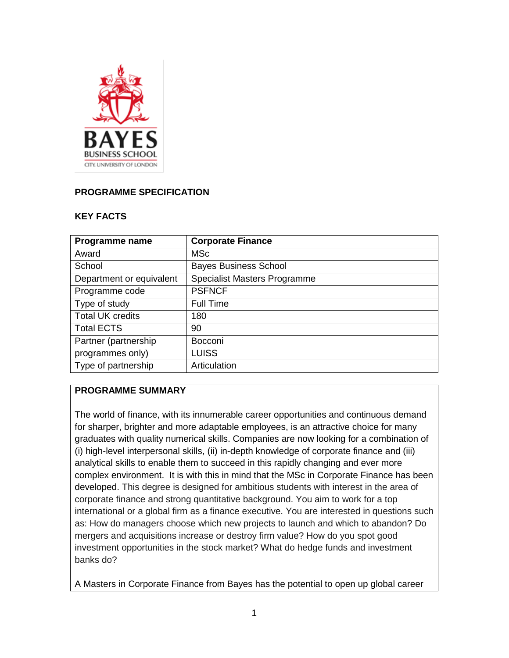

#### **PROGRAMME SPECIFICATION**

#### **KEY FACTS**

| Programme name           | <b>Corporate Finance</b>            |
|--------------------------|-------------------------------------|
| Award                    | <b>MSc</b>                          |
| School                   | <b>Bayes Business School</b>        |
| Department or equivalent | <b>Specialist Masters Programme</b> |
| Programme code           | <b>PSFNCF</b>                       |
| Type of study            | <b>Full Time</b>                    |
| <b>Total UK credits</b>  | 180                                 |
| <b>Total ECTS</b>        | 90                                  |
| Partner (partnership     | Bocconi                             |
| programmes only)         | <b>LUISS</b>                        |
| Type of partnership      | Articulation                        |

## **PROGRAMME SUMMARY**

The world of finance, with its innumerable career opportunities and continuous demand for sharper, brighter and more adaptable employees, is an attractive choice for many graduates with quality numerical skills. Companies are now looking for a combination of (i) high-level interpersonal skills, (ii) in-depth knowledge of corporate finance and (iii) analytical skills to enable them to succeed in this rapidly changing and ever more complex environment. It is with this in mind that the MSc in Corporate Finance has been developed. This degree is designed for ambitious students with interest in the area of corporate finance and strong quantitative background. You aim to work for a top international or a global firm as a finance executive. You are interested in questions such as: How do managers choose which new projects to launch and which to abandon? Do mergers and acquisitions increase or destroy firm value? How do you spot good investment opportunities in the stock market? What do hedge funds and investment banks do?

A Masters in Corporate Finance from Bayes has the potential to open up global career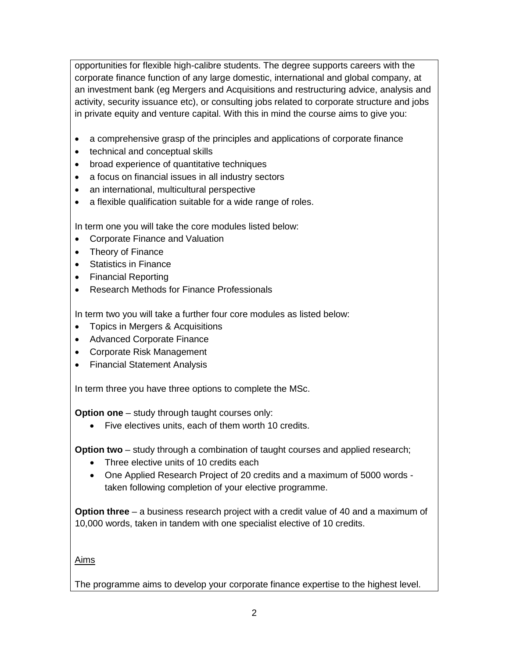opportunities for flexible high-calibre students. The degree supports careers with the corporate finance function of any large domestic, international and global company, at an investment bank (eg Mergers and Acquisitions and restructuring advice, analysis and activity, security issuance etc), or consulting jobs related to corporate structure and jobs in private equity and venture capital. With this in mind the course aims to give you:

- a comprehensive grasp of the principles and applications of corporate finance
- technical and conceptual skills
- broad experience of quantitative techniques
- a focus on financial issues in all industry sectors
- an international, multicultural perspective
- a flexible qualification suitable for a wide range of roles.

In term one you will take the core modules listed below:

- Corporate Finance and Valuation
- Theory of Finance
- Statistics in Finance
- Financial Reporting
- Research Methods for Finance Professionals

In term two you will take a further four core modules as listed below:

- Topics in Mergers & Acquisitions
- Advanced Corporate Finance
- Corporate Risk Management
- Financial Statement Analysis

In term three you have three options to complete the MSc.

**Option one** – study through taught courses only:

• Five electives units, each of them worth 10 credits.

**Option two** – study through a combination of taught courses and applied research;

- Three elective units of 10 credits each
- One Applied Research Project of 20 credits and a maximum of 5000 words taken following completion of your elective programme.

**Option three** – a business research project with a credit value of 40 and a maximum of 10,000 words, taken in tandem with one specialist elective of 10 credits.

Aims

The programme aims to develop your corporate finance expertise to the highest level.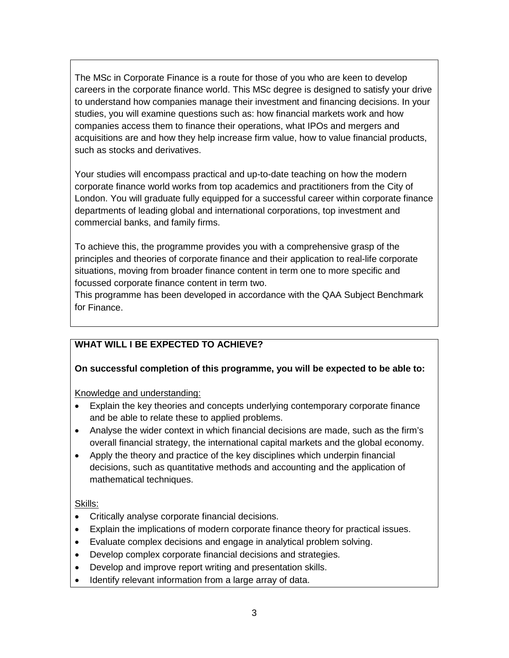The MSc in Corporate Finance is a route for those of you who are keen to develop careers in the corporate finance world. This MSc degree is designed to satisfy your drive to understand how companies manage their investment and financing decisions. In your studies, you will examine questions such as: how financial markets work and how companies access them to finance their operations, what IPOs and mergers and acquisitions are and how they help increase firm value, how to value financial products, such as stocks and derivatives.

Your studies will encompass practical and up-to-date teaching on how the modern corporate finance world works from top academics and practitioners from the City of London. You will graduate fully equipped for a successful career within corporate finance departments of leading global and international corporations, top investment and commercial banks, and family firms.

To achieve this, the programme provides you with a comprehensive grasp of the principles and theories of corporate finance and their application to real-life corporate situations, moving from broader finance content in term one to more specific and focussed corporate finance content in term two.

This programme has been developed in accordance with the QAA Subject Benchmark for Finance.

# **WHAT WILL I BE EXPECTED TO ACHIEVE?**

#### **On successful completion of this programme, you will be expected to be able to:**

Knowledge and understanding:

- Explain the key theories and concepts underlying contemporary corporate finance and be able to relate these to applied problems.
- Analyse the wider context in which financial decisions are made, such as the firm's overall financial strategy, the international capital markets and the global economy.
- Apply the theory and practice of the key disciplines which underpin financial decisions, such as quantitative methods and accounting and the application of mathematical techniques.

Skills:

- Critically analyse corporate financial decisions.
- Explain the implications of modern corporate finance theory for practical issues.
- Evaluate complex decisions and engage in analytical problem solving.
- Develop complex corporate financial decisions and strategies.
- Develop and improve report writing and presentation skills.
- Identify relevant information from a large array of data.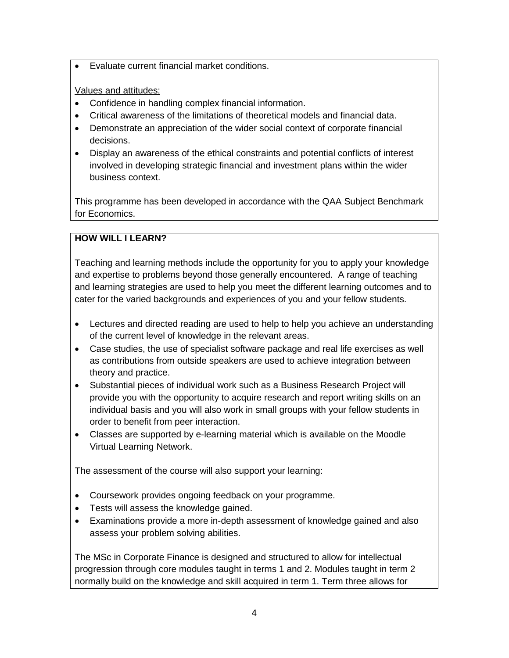• Evaluate current financial market conditions.

#### Values and attitudes:

- Confidence in handling complex financial information.
- Critical awareness of the limitations of theoretical models and financial data.
- Demonstrate an appreciation of the wider social context of corporate financial decisions.
- Display an awareness of the ethical constraints and potential conflicts of interest involved in developing strategic financial and investment plans within the wider business context.

This programme has been developed in accordance with the QAA Subject Benchmark for Economics.

## **HOW WILL I LEARN?**

Teaching and learning methods include the opportunity for you to apply your knowledge and expertise to problems beyond those generally encountered. A range of teaching and learning strategies are used to help you meet the different learning outcomes and to cater for the varied backgrounds and experiences of you and your fellow students.

- Lectures and directed reading are used to help to help you achieve an understanding of the current level of knowledge in the relevant areas.
- Case studies, the use of specialist software package and real life exercises as well as contributions from outside speakers are used to achieve integration between theory and practice.
- Substantial pieces of individual work such as a Business Research Project will provide you with the opportunity to acquire research and report writing skills on an individual basis and you will also work in small groups with your fellow students in order to benefit from peer interaction.
- Classes are supported by e-learning material which is available on the Moodle Virtual Learning Network.

The assessment of the course will also support your learning:

- Coursework provides ongoing feedback on your programme.
- Tests will assess the knowledge gained.
- Examinations provide a more in-depth assessment of knowledge gained and also assess your problem solving abilities.

The MSc in Corporate Finance is designed and structured to allow for intellectual progression through core modules taught in terms 1 and 2. Modules taught in term 2 normally build on the knowledge and skill acquired in term 1. Term three allows for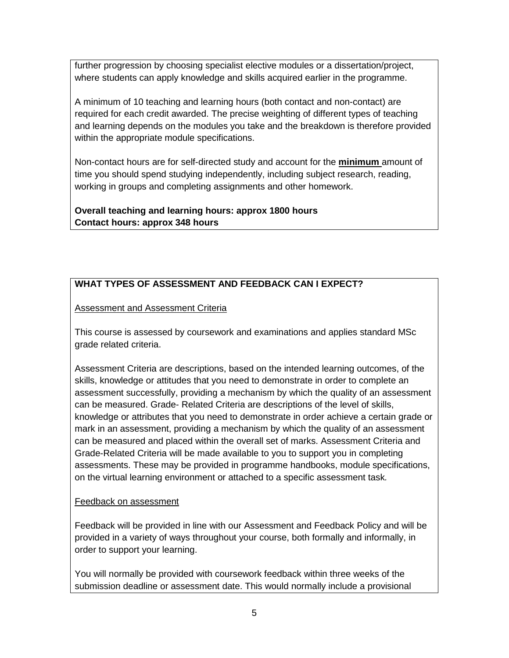further progression by choosing specialist elective modules or a dissertation/project, where students can apply knowledge and skills acquired earlier in the programme.

A minimum of 10 teaching and learning hours (both contact and non-contact) are required for each credit awarded. The precise weighting of different types of teaching and learning depends on the modules you take and the breakdown is therefore provided within the appropriate module specifications.

Non-contact hours are for self-directed study and account for the **minimum** amount of time you should spend studying independently, including subject research, reading, working in groups and completing assignments and other homework.

**Overall teaching and learning hours: approx 1800 hours Contact hours: approx 348 hours**

# **WHAT TYPES OF ASSESSMENT AND FEEDBACK CAN I EXPECT?**

### Assessment and Assessment Criteria

This course is assessed by coursework and examinations and applies standard MSc grade related criteria.

Assessment Criteria are descriptions, based on the intended learning outcomes, of the skills, knowledge or attitudes that you need to demonstrate in order to complete an assessment successfully, providing a mechanism by which the quality of an assessment can be measured. Grade- Related Criteria are descriptions of the level of skills, knowledge or attributes that you need to demonstrate in order achieve a certain grade or mark in an assessment, providing a mechanism by which the quality of an assessment can be measured and placed within the overall set of marks. Assessment Criteria and Grade-Related Criteria will be made available to you to support you in completing assessments. These may be provided in programme handbooks, module specifications, on the virtual learning environment or attached to a specific assessment task*.*

#### Feedback on assessment

Feedback will be provided in line with our Assessment and Feedback Policy and will be provided in a variety of ways throughout your course, both formally and informally, in order to support your learning.

You will normally be provided with coursework feedback within three weeks of the submission deadline or assessment date. This would normally include a provisional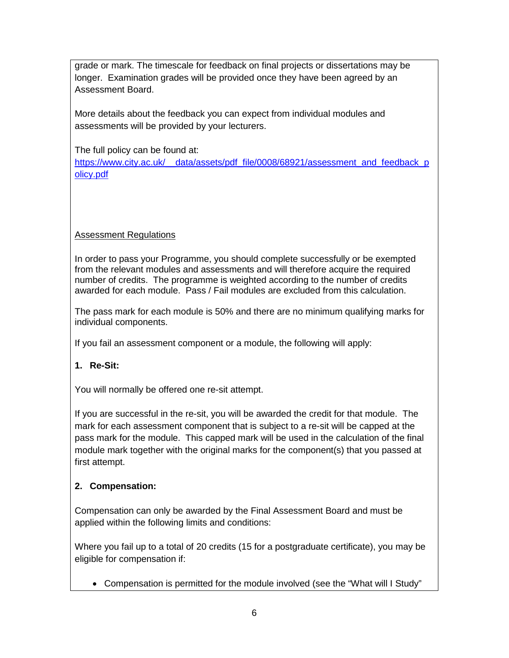grade or mark. The timescale for feedback on final projects or dissertations may be longer. Examination grades will be provided once they have been agreed by an Assessment Board.

More details about the feedback you can expect from individual modules and assessments will be provided by your lecturers.

The full policy can be found at:

[https://www.city.ac.uk/\\_\\_data/assets/pdf\\_file/0008/68921/assessment\\_and\\_feedback\\_p](https://www.city.ac.uk/__data/assets/pdf_file/0008/68921/assessment_and_feedback_policy.pdf) [olicy.pdf](https://www.city.ac.uk/__data/assets/pdf_file/0008/68921/assessment_and_feedback_policy.pdf)

### Assessment Regulations

In order to pass your Programme, you should complete successfully or be exempted from the relevant modules and assessments and will therefore acquire the required number of credits. The programme is weighted according to the number of credits awarded for each module. Pass / Fail modules are excluded from this calculation.

The pass mark for each module is 50% and there are no minimum qualifying marks for individual components.

If you fail an assessment component or a module, the following will apply:

### **1. Re-Sit:**

You will normally be offered one re-sit attempt.

If you are successful in the re-sit, you will be awarded the credit for that module. The mark for each assessment component that is subject to a re-sit will be capped at the pass mark for the module. This capped mark will be used in the calculation of the final module mark together with the original marks for the component(s) that you passed at first attempt.

### **2. Compensation:**

Compensation can only be awarded by the Final Assessment Board and must be applied within the following limits and conditions:

Where you fail up to a total of 20 credits (15 for a postgraduate certificate), you may be eligible for compensation if:

• Compensation is permitted for the module involved (see the "What will I Study"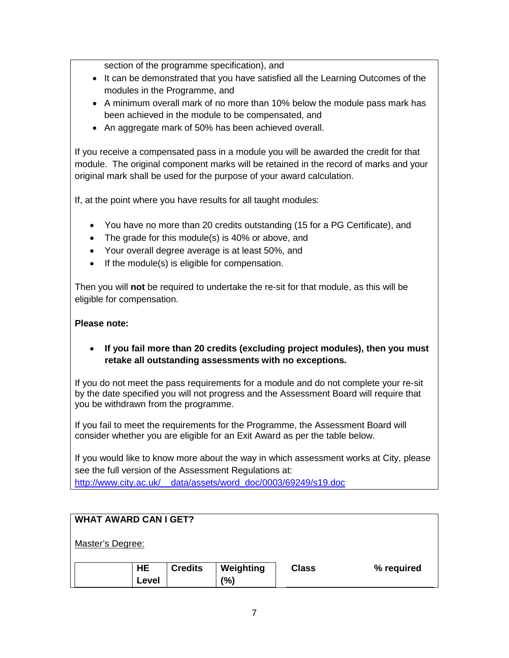section of the programme specification), and

- It can be demonstrated that you have satisfied all the Learning Outcomes of the modules in the Programme, and
- A minimum overall mark of no more than 10% below the module pass mark has been achieved in the module to be compensated, and
- An aggregate mark of 50% has been achieved overall.

If you receive a compensated pass in a module you will be awarded the credit for that module. The original component marks will be retained in the record of marks and your original mark shall be used for the purpose of your award calculation.

If, at the point where you have results for all taught modules:

- You have no more than 20 credits outstanding (15 for a PG Certificate), and
- The grade for this module(s) is 40% or above, and
- Your overall degree average is at least 50%, and
- If the module(s) is eligible for compensation.

Then you will **not** be required to undertake the re-sit for that module, as this will be eligible for compensation.

#### **Please note:**

#### • **If you fail more than 20 credits (excluding project modules), then you must retake all outstanding assessments with no exceptions.**

If you do not meet the pass requirements for a module and do not complete your re-sit by the date specified you will not progress and the Assessment Board will require that you be withdrawn from the programme.

If you fail to meet the requirements for the Programme, the Assessment Board will consider whether you are eligible for an Exit Award as per the table below.

If you would like to know more about the way in which assessment works at City, please see the full version of the Assessment Regulations at: [http://www.city.ac.uk/\\_\\_data/assets/word\\_doc/0003/69249/s19.doc](http://www.city.ac.uk/__data/assets/word_doc/0003/69249/s19.doc)

| <b>WHAT AWARD CAN I GET?</b> |           |                |           |              |            |  |
|------------------------------|-----------|----------------|-----------|--------------|------------|--|
| Master's Degree:             |           |                |           |              |            |  |
|                              | <b>HE</b> |                |           |              |            |  |
|                              |           | <b>Credits</b> | Weighting | <b>Class</b> | % required |  |
|                              | Level     |                | (%)       |              |            |  |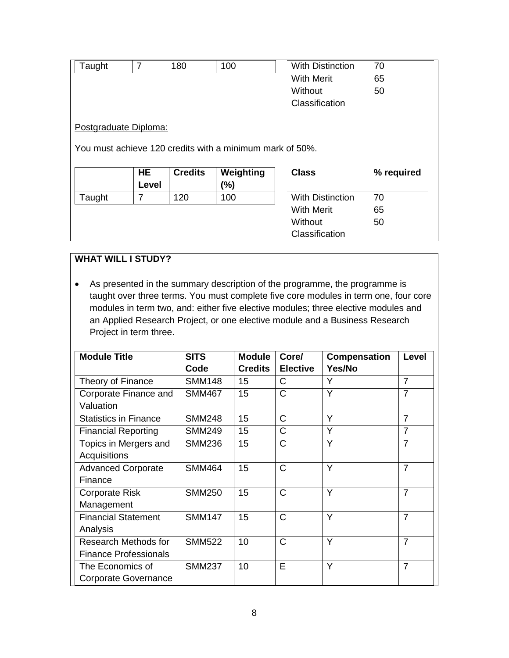| Taught                                                                            | 7         | 180            | 100               | <b>With Distinction</b> | 70         |  |  |
|-----------------------------------------------------------------------------------|-----------|----------------|-------------------|-------------------------|------------|--|--|
|                                                                                   |           |                | <b>With Merit</b> |                         | 65         |  |  |
|                                                                                   |           |                |                   | Without                 | 50         |  |  |
|                                                                                   |           |                |                   | Classification          |            |  |  |
| Postgraduate Diploma:<br>You must achieve 120 credits with a minimum mark of 50%. |           |                |                   |                         |            |  |  |
|                                                                                   | <b>HE</b> | <b>Credits</b> | Weighting         | <b>Class</b>            | % required |  |  |
|                                                                                   | Level     |                | $(\%)$            |                         |            |  |  |
| Taught                                                                            | 7         | 120            | 100               | <b>With Distinction</b> | 70         |  |  |
|                                                                                   |           |                |                   | <b>With Merit</b>       | 65         |  |  |
|                                                                                   |           |                |                   | Without                 | 50         |  |  |
|                                                                                   |           |                |                   | Classification          |            |  |  |

# **WHAT WILL I STUDY?**

• As presented in the summary description of the programme, the programme is taught over three terms. You must complete five core modules in term one, four core modules in term two, and: either five elective modules; three elective modules and an Applied Research Project, or one elective module and a Business Research Project in term three.

| <b>Module Title</b>          | <b>SITS</b>   | <b>Module</b>  | Core/           | <b>Compensation</b> | Level          |
|------------------------------|---------------|----------------|-----------------|---------------------|----------------|
|                              | Code          | <b>Credits</b> | <b>Elective</b> | Yes/No              |                |
| Theory of Finance            | <b>SMM148</b> | 15             | C               | Υ                   | $\overline{7}$ |
| Corporate Finance and        | <b>SMM467</b> | 15             | $\mathsf{C}$    | Y                   | $\overline{7}$ |
| Valuation                    |               |                |                 |                     |                |
| <b>Statistics in Finance</b> | <b>SMM248</b> | 15             | $\mathsf{C}$    | Y                   | $\overline{7}$ |
| <b>Financial Reporting</b>   | <b>SMM249</b> | 15             | C               | Y                   | $\overline{7}$ |
| Topics in Mergers and        | <b>SMM236</b> | 15             | $\mathsf{C}$    | Y                   | $\overline{7}$ |
| Acquisitions                 |               |                |                 |                     |                |
| <b>Advanced Corporate</b>    | <b>SMM464</b> | 15             | $\mathsf{C}$    | Y                   | $\overline{7}$ |
| Finance                      |               |                |                 |                     |                |
| <b>Corporate Risk</b>        | <b>SMM250</b> | 15             | $\mathsf{C}$    | Y                   | $\overline{7}$ |
| Management                   |               |                |                 |                     |                |
| <b>Financial Statement</b>   | <b>SMM147</b> | 15             | $\mathsf{C}$    | Y                   | $\overline{7}$ |
| Analysis                     |               |                |                 |                     |                |
| Research Methods for         | <b>SMM522</b> | 10             | C               | Y                   | $\overline{7}$ |
| <b>Finance Professionals</b> |               |                |                 |                     |                |
| The Economics of             | <b>SMM237</b> | 10             | E               | Y                   | $\overline{7}$ |
| Corporate Governance         |               |                |                 |                     |                |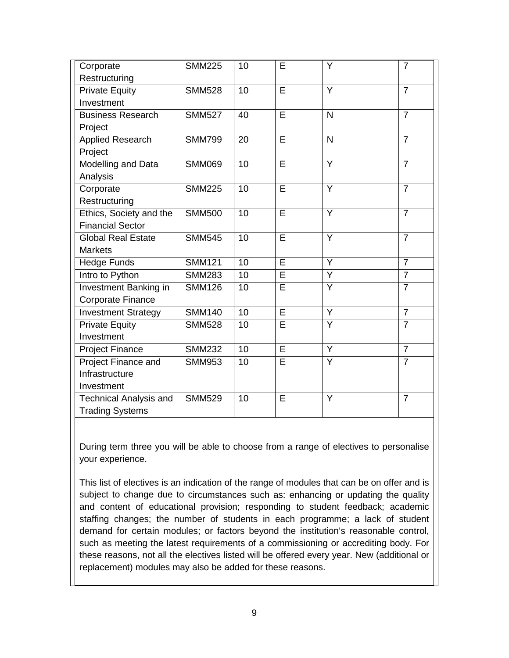| Corporate                     | <b>SMM225</b> | 10 | E                       | Y                       | $\overline{7}$ |
|-------------------------------|---------------|----|-------------------------|-------------------------|----------------|
| Restructuring                 |               |    |                         |                         |                |
| <b>Private Equity</b>         | <b>SMM528</b> | 10 | $\overline{E}$          | Y                       | $\overline{7}$ |
| Investment                    |               |    |                         |                         |                |
| <b>Business Research</b>      | <b>SMM527</b> | 40 | E                       | $\overline{N}$          | $\overline{7}$ |
| Project                       |               |    |                         |                         |                |
| <b>Applied Research</b>       | <b>SMM799</b> | 20 | $\overline{E}$          | $\overline{\mathsf{N}}$ | $\overline{7}$ |
| Project                       |               |    |                         |                         |                |
| Modelling and Data            | <b>SMM069</b> | 10 | $\overline{E}$          | $\overline{Y}$          | $\overline{7}$ |
| Analysis                      |               |    |                         |                         |                |
| Corporate                     | <b>SMM225</b> | 10 | $\overline{E}$          | Y                       | $\overline{7}$ |
| Restructuring                 |               |    |                         |                         |                |
| Ethics, Society and the       | <b>SMM500</b> | 10 | Ē                       | Ÿ                       | $\overline{7}$ |
| <b>Financial Sector</b>       |               |    |                         |                         |                |
| <b>Global Real Estate</b>     | <b>SMM545</b> | 10 | E                       | Y                       | $\overline{7}$ |
| <b>Markets</b>                |               |    |                         |                         |                |
| <b>Hedge Funds</b>            | <b>SMM121</b> | 10 | $\overline{E}$          | Y                       | $\overline{7}$ |
| Intro to Python               | <b>SMM283</b> | 10 | E                       | Y                       | $\overline{7}$ |
| Investment Banking in         | <b>SMM126</b> | 10 | $\overline{\mathsf{E}}$ | $\overline{Y}$          | $\overline{7}$ |
| Corporate Finance             |               |    |                         |                         |                |
| <b>Investment Strategy</b>    | <b>SMM140</b> | 10 | $\overline{E}$          | $\overline{Y}$          | $\overline{7}$ |
| <b>Private Equity</b>         | <b>SMM528</b> | 10 | Ē                       | Ÿ                       | $\overline{7}$ |
| Investment                    |               |    |                         |                         |                |
| <b>Project Finance</b>        | <b>SMM232</b> | 10 | E                       | Y                       | $\overline{7}$ |
| Project Finance and           | <b>SMM953</b> | 10 | E                       | $\overline{Y}$          | $\overline{7}$ |
| Infrastructure                |               |    |                         |                         |                |
| Investment                    |               |    |                         |                         |                |
| <b>Technical Analysis and</b> | <b>SMM529</b> | 10 | E                       | Y                       | $\overline{7}$ |
| <b>Trading Systems</b>        |               |    |                         |                         |                |

During term three you will be able to choose from a range of electives to personalise your experience.

This list of electives is an indication of the range of modules that can be on offer and is subject to change due to circumstances such as: enhancing or updating the quality and content of educational provision; responding to student feedback; academic staffing changes; the number of students in each programme; a lack of student demand for certain modules; or factors beyond the institution's reasonable control, such as meeting the latest requirements of a commissioning or accrediting body. For these reasons, not all the electives listed will be offered every year. New (additional or replacement) modules may also be added for these reasons.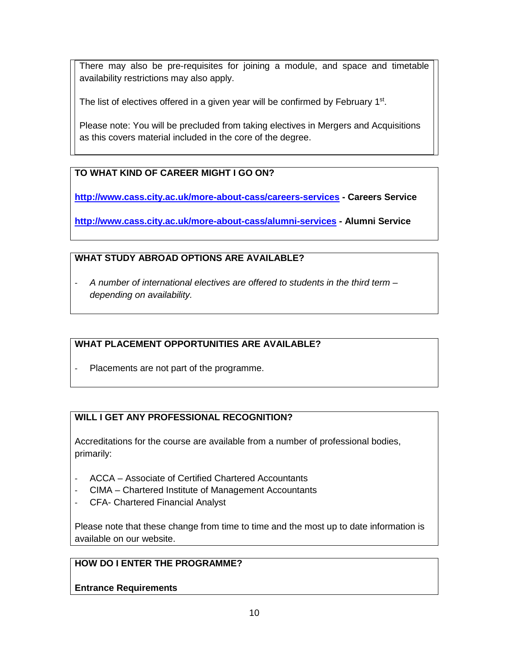There may also be pre-requisites for joining a module, and space and timetable availability restrictions may also apply.

The list of electives offered in a given year will be confirmed by February 1<sup>st</sup>.

Please note: You will be precluded from taking electives in Mergers and Acquisitions as this covers material included in the core of the degree.

# **TO WHAT KIND OF CAREER MIGHT I GO ON?**

**<http://www.cass.city.ac.uk/more-about-cass/careers-services> - Careers Service**

**<http://www.cass.city.ac.uk/more-about-cass/alumni-services> - Alumni Service**

## **WHAT STUDY ABROAD OPTIONS ARE AVAILABLE?**

- *A number of international electives are offered to students in the third term – depending on availability.*

### **WHAT PLACEMENT OPPORTUNITIES ARE AVAILABLE?**

Placements are not part of the programme.

### **WILL I GET ANY PROFESSIONAL RECOGNITION?**

Accreditations for the course are available from a number of professional bodies, primarily:

- ACCA Associate of Certified Chartered Accountants
- CIMA Chartered Institute of Management Accountants
- CFA- Chartered Financial Analyst

Please note that these change from time to time and the most up to date information is available on our website.

## **HOW DO I ENTER THE PROGRAMME?**

**Entrance Requirements**